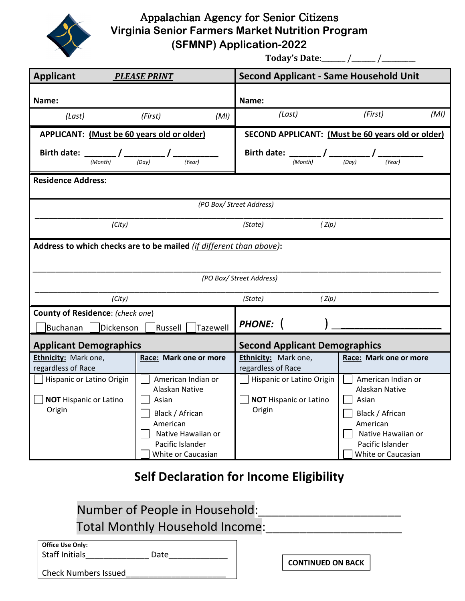

Appalachian Agency for Senior Citizens Virginia Senior Farmers Market Nutrition Program (SFMNP) Application-2022

Today's Date:\_\_\_\_\_\_\_ /\_\_\_\_\_\_\_ /\_\_\_\_\_\_\_\_\_\_

| <b>Applicant</b><br><b>PLEASE PRINT</b>                                                                                              |                                                                                                                                              | <b>Second Applicant - Same Household Unit</b>                            |                                                                                                                                              |  |  |
|--------------------------------------------------------------------------------------------------------------------------------------|----------------------------------------------------------------------------------------------------------------------------------------------|--------------------------------------------------------------------------|----------------------------------------------------------------------------------------------------------------------------------------------|--|--|
| Name:                                                                                                                                |                                                                                                                                              | Name:                                                                    |                                                                                                                                              |  |  |
| (Last)                                                                                                                               | (MI)<br>(First)                                                                                                                              | (Last)                                                                   | (First)<br>(MI)                                                                                                                              |  |  |
| APPLICANT: (Must be 60 years old or older)                                                                                           |                                                                                                                                              |                                                                          | SECOND APPLICANT: (Must be 60 years old or older)                                                                                            |  |  |
| Birth date: $\underbrace{\qquad \qquad }_{(Month)}$ / $\underbrace{\qquad \qquad }_{(Day)}$ / $\underbrace{\qquad \qquad }_{(Year)}$ |                                                                                                                                              | Birth date: $\frac{1}{(Month)}$ / $\frac{1}{(Day)}$ / $\frac{1}{(Year)}$ |                                                                                                                                              |  |  |
| <b>Residence Address:</b>                                                                                                            |                                                                                                                                              |                                                                          |                                                                                                                                              |  |  |
| (PO Box/ Street Address)                                                                                                             |                                                                                                                                              |                                                                          |                                                                                                                                              |  |  |
| (City)<br>(State)<br>(Zip)                                                                                                           |                                                                                                                                              |                                                                          |                                                                                                                                              |  |  |
| Address to which checks are to be mailed (if different than above):                                                                  |                                                                                                                                              |                                                                          |                                                                                                                                              |  |  |
|                                                                                                                                      |                                                                                                                                              | (PO Box/ Street Address)                                                 |                                                                                                                                              |  |  |
| (City)                                                                                                                               |                                                                                                                                              | (State)<br>(Zip)                                                         |                                                                                                                                              |  |  |
| County of Residence: (check one)                                                                                                     |                                                                                                                                              | <b>PHONE:</b>                                                            |                                                                                                                                              |  |  |
| Buchanan<br>Dickenson                                                                                                                | Russell<br>Tazewell                                                                                                                          |                                                                          |                                                                                                                                              |  |  |
| <b>Applicant Demographics</b>                                                                                                        |                                                                                                                                              | <b>Second Applicant Demographics</b>                                     |                                                                                                                                              |  |  |
| Ethnicity: Mark one,<br>regardless of Race                                                                                           | Race: Mark one or more                                                                                                                       | Ethnicity: Mark one,<br>regardless of Race                               | Race: Mark one or more                                                                                                                       |  |  |
| Hispanic or Latino Origin<br><b>NOT Hispanic or Latino</b><br>Origin                                                                 | American Indian or<br>Alaskan Native<br>Asian<br>Black / African<br>American<br>Native Hawaiian or<br>Pacific Islander<br>White or Caucasian | Hispanic or Latino Origin<br><b>NOT Hispanic or Latino</b><br>Origin     | American Indian or<br>Alaskan Native<br>Asian<br>Black / African<br>American<br>Native Hawaiian or<br>Pacific Islander<br>White or Caucasian |  |  |

## Self Declaration for Income Eligibility

| Number of People in Household:  |  |
|---------------------------------|--|
| Total Monthly Household Income: |  |

| Office Use Only: |
|------------------|
| Staff Initials   |

Staff Initials\_\_\_\_\_\_\_\_\_\_\_\_\_\_ Date\_\_\_\_\_\_\_\_\_\_\_\_\_

CONTINUED ON BACK

Check Numbers Issued\_\_\_\_\_\_\_\_\_\_\_\_\_\_\_\_\_\_\_\_\_\_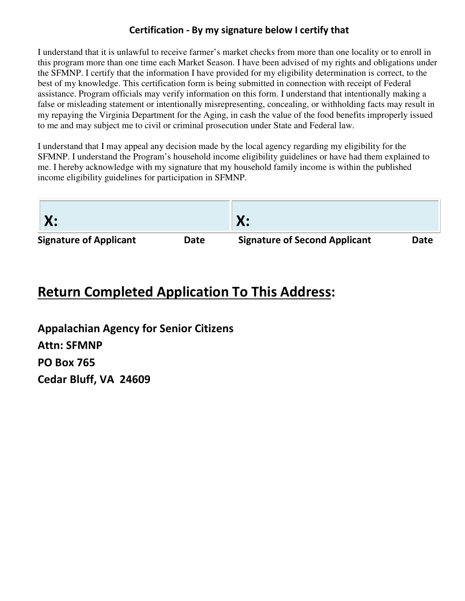#### Certification - By my signature below I certify that

I understand that it is unlawful to receive farmer's market checks from more than one locality or to enroll in this program more than one time each Market Season. I have been advised of my rights and obligations under the SFMNP. I certify that the information I have provided for my eligibility determination is correct, to the best of my knowledge. This certification form is being submitted in connection with receipt of Federal assistance. Program officials may verify information on this form. I understand that intentionally making a false or misleading statement or intentionally misrepresenting, concealing, or withholding facts may result in my repaying the Virginia Department for the Aging, in cash the value of the food benefits improperly issued to me and may subject me to civil or criminal prosecution under State and Federal law.

I understand that I may appeal any decision made by the local agency regarding my eligibility for the SFMNP. I understand the Program's household income eligibility guidelines or have had them explained to me. I hereby acknowledge with my signature that my household family income is within the published income eligibility guidelines for participation in SFMNP.

| X:                            |      | Х:                                   |      |
|-------------------------------|------|--------------------------------------|------|
| <b>Signature of Applicant</b> | Date | <b>Signature of Second Applicant</b> | Date |

# Return Completed Application To This Address:

Appalachian Agency for Senior Citizens Attn: SFMNP PO Box 765 Cedar Bluff, VA 24609